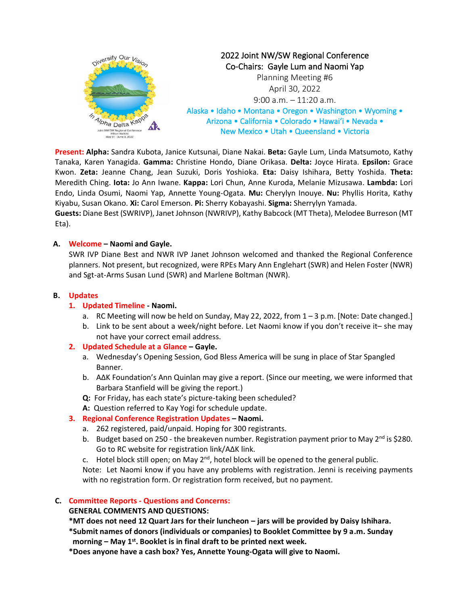

**Present: Alpha:** Sandra Kubota, Janice Kutsunai, Diane Nakai. **Beta:** Gayle Lum, Linda Matsumoto, Kathy Tanaka, Karen Yanagida. **Gamma:** Christine Hondo, Diane Orikasa. **Delta:** Joyce Hirata. **Epsilon:** Grace Kwon. **Zeta:** Jeanne Chang, Jean Suzuki, Doris Yoshioka. **Eta:** Daisy Ishihara, Betty Yoshida. **Theta:** Meredith Ching. **Iota:** Jo Ann Iwane. **Kappa:** Lori Chun, Anne Kuroda, Melanie Mizusawa. **Lambda:** Lori Endo, Linda Osumi, Naomi Yap, Annette Young-Ogata. **Mu:** Cherylyn Inouye. **Nu:** Phyllis Horita, Kathy Kiyabu, Susan Okano. **Xi:** Carol Emerson. **Pi:** Sherry Kobayashi. **Sigma:** Sherrylyn Yamada.

**Guests:** Diane Best (SWRIVP), Janet Johnson (NWRIVP), Kathy Babcock (MT Theta), Melodee Burreson (MT Eta).

# **A. Welcome – Naomi and Gayle.**

SWR IVP Diane Best and NWR IVP Janet Johnson welcomed and thanked the Regional Conference planners. Not present, but recognized, were RPEs Mary Ann Englehart (SWR) and Helen Foster (NWR) and Sgt-at-Arms Susan Lund (SWR) and Marlene Boltman (NWR).

# **B. Updates**

# **1. Updated Timeline - Naomi.**

- a. RC Meeting will now be held on Sunday, May 22, 2022, from 1 3 p.m. [Note: Date changed.]
- b. Link to be sent about a week/night before. Let Naomi know if you don't receive it– she may not have your correct email address.

# **2. Updated Schedule at a Glance – Gayle.**

- a. Wednesday's Opening Session, God Bless America will be sung in place of Star Spangled Banner.
- b. A∆K Foundation's Ann Quinlan may give a report. (Since our meeting, we were informed that Barbara Stanfield will be giving the report.)
- **Q:** For Friday, has each state's picture-taking been scheduled?
- **A:** Question referred to Kay Yogi for schedule update.

# **3. Regional Conference Registration Updates – Naomi.**

- a. 262 registered, paid/unpaid. Hoping for 300 registrants.
- b. Budget based on 250 the breakeven number. Registration payment prior to May  $2^{nd}$  is \$280. Go to RC website for registration link/A∆K link.
- c. Hotel block still open; on May  $2^{nd}$ , hotel block will be opened to the general public.

Note: Let Naomi know if you have any problems with registration. Jenni is receiving payments with no registration form. Or registration form received, but no payment.

# **C. Committee Reports - Questions and Concerns:**

# **GENERAL COMMENTS AND QUESTIONS:**

**\*MT does not need 12 Quart Jars for their luncheon – jars will be provided by Daisy Ishihara.**

- **\*Submit names of donors (individuals or companies) to Booklet Committee by 9 a.m. Sunday morning – May 1st. Booklet is in final draft to be printed next week.**
- **\*Does anyone have a cash box? Yes, Annette Young-Ogata will give to Naomi.**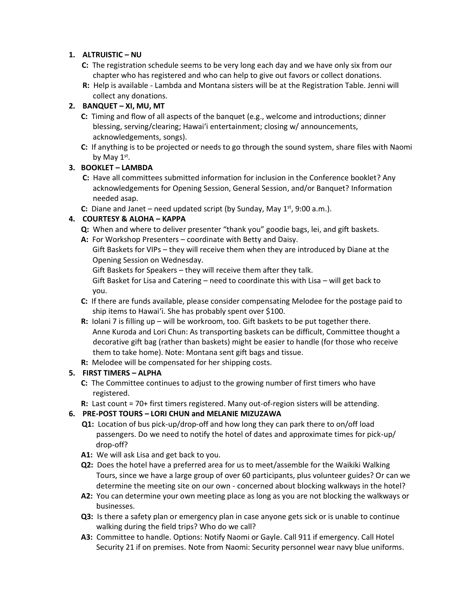# **1. ALTRUISTIC – NU**

- **C:** The registration schedule seems to be very long each day and we have only six from our chapter who has registered and who can help to give out favors or collect donations.
- **R:** Help is available Lambda and Montana sisters will be at the Registration Table. Jenni will collect any donations.

# **2. BANQUET – XI, MU, MT**

- **C:** Timing and flow of all aspects of the banquet (e.g., welcome and introductions; dinner blessing, serving/clearing; Hawaiʻi entertainment; closing w/ announcements, acknowledgements, songs).
- **C:** If anything is to be projected or needs to go through the sound system, share files with Naomi by May  $1^\text{st}$ .

# **3. BOOKLET – LAMBDA**

- **C:** Have all committees submitted information for inclusion in the Conference booklet? Any acknowledgements for Opening Session, General Session, and/or Banquet? Information needed asap.
- **C:** Diane and Janet need updated script (by Sunday, May 1<sup>st</sup>, 9:00 a.m.).

# **4. COURTESY & ALOHA – KAPPA**

- **Q:** When and where to deliver presenter "thank you" goodie bags, lei, and gift baskets.
- **A:** For Workshop Presenters coordinate with Betty and Daisy.
	- Gift Baskets for VIPs they will receive them when they are introduced by Diane at the Opening Session on Wednesday.

Gift Baskets for Speakers – they will receive them after they talk.

 Gift Basket for Lisa and Catering – need to coordinate this with Lisa – will get back to you.

- **C:** If there are funds available, please consider compensating Melodee for the postage paid to ship items to Hawaiʻi. She has probably spent over \$100.
- **R:** Iolani 7 is filling up will be workroom, too. Gift baskets to be put together there. Anne Kuroda and Lori Chun: As transporting baskets can be difficult, Committee thought a decorative gift bag (rather than baskets) might be easier to handle (for those who receive them to take home). Note: Montana sent gift bags and tissue.
- **R:** Melodee will be compensated for her shipping costs.

# **5. FIRST TIMERS – ALPHA**

- **C:** The Committee continues to adjust to the growing number of first timers who have registered.
- **R:** Last count = 70+ first timers registered. Many out-of-region sisters will be attending.

# **6. PRE-POST TOURS – LORI CHUN and MELANIE MIZUZAWA**

- **Q1:** Location of bus pick-up/drop-off and how long they can park there to on/off load passengers. Do we need to notify the hotel of dates and approximate times for pick-up/ drop-off?
- **A1:** We will ask Lisa and get back to you.
- **Q2:** Does the hotel have a preferred area for us to meet/assemble for the Waikiki Walking Tours, since we have a large group of over 60 participants, plus volunteer guides? Or can we determine the meeting site on our own - concerned about blocking walkways in the hotel?
- **A2:** You can determine your own meeting place as long as you are not blocking the walkways or businesses.
- **Q3:** Is there a safety plan or emergency plan in case anyone gets sick or is unable to continue walking during the field trips? Who do we call?
- **A3:** Committee to handle. Options: Notify Naomi or Gayle. Call 911 if emergency. Call Hotel Security 21 if on premises. Note from Naomi: Security personnel wear navy blue uniforms.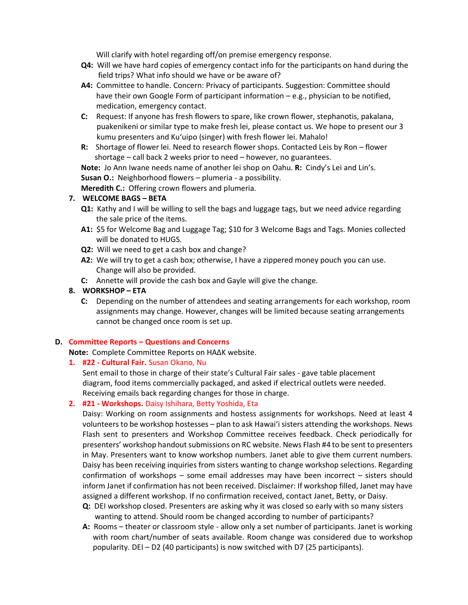Will clarify with hotel regarding off/on premise emergency response.

- **Q4:** Will we have hard copies of emergency contact info for the participants on hand during the field trips? What info should we have or be aware of?
- **A4:** Committee to handle. Concern: Privacy of participants. Suggestion: Committee should have their own Google Form of participant information - e.g., physician to be notified, medication, emergency contact.
- **C:** Request: If anyone has fresh flowers to spare, like crown flower, stephanotis, pakalana, puakenikeni or similar type to make fresh lei, please contact us. We hope to present our 3 kumu presenters and Kuʻuipo (singer) with fresh flower lei. Mahalo!
- **R:** Shortage of flower lei. Need to research flower shops. Contacted Leis by Ron flower shortage – call back 2 weeks prior to need – however, no guarantees.

**Note:** Jo Ann Iwane needs name of another lei shop on Oahu. **R:** Cindy's Lei and Lin's. **Susan O.:** Neighborhood flowers – plumeria - a possibility.

**Meredith C.:** Offering crown flowers and plumeria.

# **7. WELCOME BAGS – BETA**

- **Q1:** Kathy and I will be willing to sell the bags and luggage tags, but we need advice regarding the sale price of the items.
- **A1:** \$5 for Welcome Bag and Luggage Tag; \$10 for 3 Welcome Bags and Tags. Monies collected will be donated to HUGS.
- **Q2:** Will we need to get a cash box and change?
- **A2:** We will try to get a cash box; otherwise, I have a zippered money pouch you can use. Change will also be provided.
- **C:** Annette will provide the cash box and Gayle will give the change.

# **8. WORKSHOP – ETA**

**C:** Depending on the number of attendees and seating arrangements for each workshop, room assignments may change. However, changes will be limited because seating arrangements cannot be changed once room is set up.

#### **D. Committee Reports – Questions and Concerns**

- **Note:** Complete Committee Reports on HA∆K website.
- **1. #22 - Cultural Fair.** Susan Okano, Nu

Sent email to those in charge of their state's Cultural Fair sales - gave table placement diagram, food items commercially packaged, and asked if electrical outlets were needed. Receiving emails back regarding changes for those in charge.

# **2. #21 - Workshops.** Daisy Ishihara, Betty Yoshida, Eta

Daisy: Working on room assignments and hostess assignments for workshops. Need at least 4 volunteers to be workshop hostesses – plan to ask Hawaiʻi sisters attending the workshops. News Flash sent to presenters and Workshop Committee receives feedback. Check periodically for presenters' workshop handout submissions on RC website. News Flash #4 to be sent to presenters in May. Presenters want to know workshop numbers. Janet able to give them current numbers. Daisy has been receiving inquiries from sisters wanting to change workshop selections. Regarding confirmation of workshops – some email addresses may have been incorrect – sisters should inform Janet if confirmation has not been received. Disclaimer: If workshop filled, Janet may have assigned a different workshop. If no confirmation received, contact Janet, Betty, or Daisy.

- **Q:** DEI workshop closed. Presenters are asking why it was closed so early with so many sisters wanting to attend. Should room be changed according to number of participants?
- **A:** Rooms theater or classroom style allow only a set number of participants. Janet is working with room chart/number of seats available. Room change was considered due to workshop popularity. DEI – D2 (40 participants) is now switched with D7 (25 participants).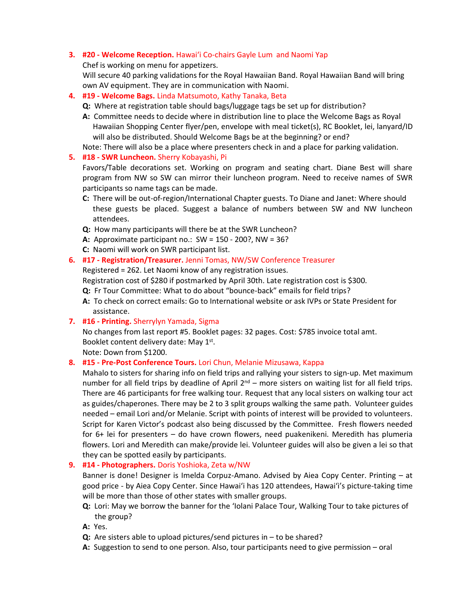# **3. #20 - Welcome Reception.** Hawaiʻi Co-chairs Gayle Lum and Naomi Yap

Chef is working on menu for appetizers.

Will secure 40 parking validations for the Royal Hawaiian Band. Royal Hawaiian Band will bring own AV equipment. They are in communication with Naomi.

- **4. #19 - Welcome Bags.** Linda Matsumoto, Kathy Tanaka, Beta
	- **Q:** Where at registration table should bags/luggage tags be set up for distribution?
	- **A:** Committee needs to decide where in distribution line to place the Welcome Bags as Royal Hawaiian Shopping Center flyer/pen, envelope with meal ticket(s), RC Booklet, lei, lanyard/ID will also be distributed. Should Welcome Bags be at the beginning? or end?

Note: There will also be a place where presenters check in and a place for parking validation.

#### **5. #18 - SWR Luncheon.** Sherry Kobayashi, Pi

Favors/Table decorations set. Working on program and seating chart. Diane Best will share program from NW so SW can mirror their luncheon program. Need to receive names of SWR participants so name tags can be made.

- **C:** There will be out-of-region/International Chapter guests. To Diane and Janet: Where should these guests be placed. Suggest a balance of numbers between SW and NW luncheon attendees.
- **Q:** How many participants will there be at the SWR Luncheon?
- **A:** Approximate participant no.: SW = 150 200?, NW = 36?
- **C:** Naomi will work on SWR participant list.

# **6. #17 - Registration/Treasurer.** Jenni Tomas, NW/SW Conference Treasurer

Registered = 262. Let Naomi know of any registration issues.

Registration cost of \$280 if postmarked by April 30th. Late registration cost is \$300.

- **Q:** Fr Tour Committee: What to do about "bounce-back" emails for field trips?
- **A:** To check on correct emails: Go to International website or ask IVPs or State President for assistance.
- **7. #16 - Printing.** Sherrylyn Yamada, Sigma

No changes from last report #5. Booklet pages: 32 pages. Cost: \$785 invoice total amt. Booklet content delivery date: May 1st.

Note: Down from \$1200.

# **8. #15 - Pre-Post Conference Tours.** Lori Chun, Melanie Mizusawa, Kappa

Mahalo to sisters for sharing info on field trips and rallying your sisters to sign-up. Met maximum number for all field trips by deadline of April 2<sup>nd</sup> – more sisters on waiting list for all field trips. There are 46 participants for free walking tour. Request that any local sisters on walking tour act as guides/chaperones. There may be 2 to 3 split groups walking the same path. Volunteer guides needed – email Lori and/or Melanie. Script with points of interest will be provided to volunteers. Script for Karen Victor's podcast also being discussed by the Committee. Fresh flowers needed for 6+ lei for presenters – do have crown flowers, need puakenikeni. Meredith has plumeria flowers. Lori and Meredith can make/provide lei. Volunteer guides will also be given a lei so that they can be spotted easily by participants.

**9. #14 - Photographers.** Doris Yoshioka, Zeta w/NW

Banner is done! Designer is Imelda Corpuz-Amano. Advised by Aiea Copy Center. Printing – at good price - by Aiea Copy Center. Since Hawaiʻi has 120 attendees, Hawaiʻi's picture-taking time will be more than those of other states with smaller groups.

**Q:** Lori: May we borrow the banner for the 'Iolani Palace Tour, Walking Tour to take pictures of the group?

**A:** Yes.

- **Q:** Are sisters able to upload pictures/send pictures in to be shared?
- **A:** Suggestion to send to one person. Also, tour participants need to give permission oral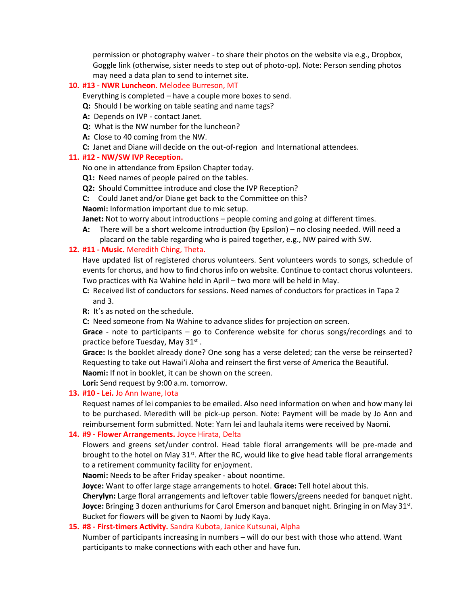permission or photography waiver - to share their photos on the website via e.g., Dropbox, Goggle link (otherwise, sister needs to step out of photo-op). Note: Person sending photos may need a data plan to send to internet site.

# **10. #13 - NWR Luncheon.** Melodee Burreson, MT

Everything is completed – have a couple more boxes to send.

- **Q:** Should I be working on table seating and name tags?
- **A:** Depends on IVP contact Janet.
- **Q:** What is the NW number for the luncheon?
- **A:** Close to 40 coming from the NW.
- **C:** Janet and Diane will decide on the out-of-region and International attendees.

#### **11. #12 - NW/SW IVP Reception.**

No one in attendance from Epsilon Chapter today.

- **Q1:** Need names of people paired on the tables.
- **Q2:** Should Committee introduce and close the IVP Reception?

**C:** Could Janet and/or Diane get back to the Committee on this?

**Naomi:** Information important due to mic setup.

**Janet:** Not to worry about introductions – people coming and going at different times.

**A:** There will be a short welcome introduction (by Epsilon) – no closing needed. Will need a placard on the table regarding who is paired together, e.g., NW paired with SW.

# **12. #11 - Music.** Meredith Ching, Theta.

Have updated list of registered chorus volunteers. Sent volunteers words to songs, schedule of events for chorus, and how to find chorus info on website. Continue to contact chorus volunteers. Two practices with Na Wahine held in April – two more will be held in May.

- **C:** Received list of conductors for sessions. Need names of conductors for practices in Tapa 2 and 3.
- **R:** It's as noted on the schedule.
- **C:** Need someone from Na Wahine to advance slides for projection on screen.

**Grace** - note to participants – go to Conference website for chorus songs/recordings and to practice before Tuesday, May 31st.

**Grace:** Is the booklet already done? One song has a verse deleted; can the verse be reinserted? Requesting to take out Hawaiʻi Aloha and reinsert the first verse of America the Beautiful. **Naomi:** If not in booklet, it can be shown on the screen.

**Lori:** Send request by 9:00 a.m. tomorrow.

# **13. #10 - Lei.** Jo Ann Iwane, Iota

Request names of lei companies to be emailed. Also need information on when and how many lei to be purchased. Meredith will be pick-up person. Note: Payment will be made by Jo Ann and reimbursement form submitted. Note: Yarn lei and lauhala items were received by Naomi.

# **14. #9 - Flower Arrangements.** Joyce Hirata, Delta

Flowers and greens set/under control. Head table floral arrangements will be pre-made and brought to the hotel on May 31<sup>st</sup>. After the RC, would like to give head table floral arrangements to a retirement community facility for enjoyment.

**Naomi:** Needs to be after Friday speaker - about noontime.

**Joyce:** Want to offer large stage arrangements to hotel. **Grace:** Tell hotel about this.

**Cherylyn:** Large floral arrangements and leftover table flowers/greens needed for banquet night. **Joyce:** Bringing 3 dozen anthuriums for Carol Emerson and banquet night. Bringing in on May 31st. Bucket for flowers will be given to Naomi by Judy Kaya.

# **15. #8 - First-timers Activity.** Sandra Kubota, Janice Kutsunai, Alpha

Number of participants increasing in numbers – will do our best with those who attend. Want participants to make connections with each other and have fun.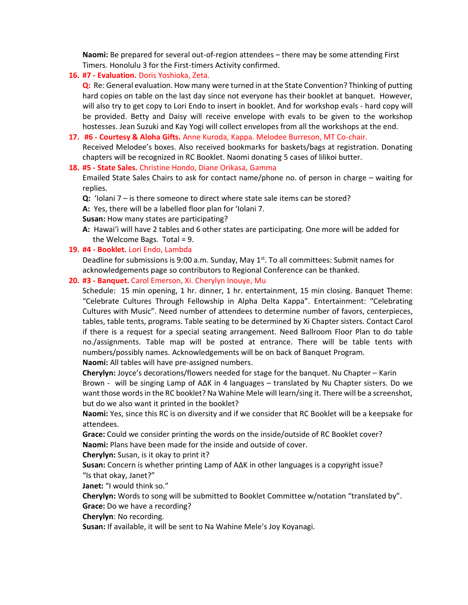**Naomi:** Be prepared for several out-of-region attendees – there may be some attending First Timers. Honolulu 3 for the First-timers Activity confirmed.

#### **16. #7 - Evaluation.** Doris Yoshioka, Zeta.

**Q:** Re: General evaluation. How many were turned in at the State Convention? Thinking of putting hard copies on table on the last day since not everyone has their booklet at banquet. However, will also try to get copy to Lori Endo to insert in booklet. And for workshop evals - hard copy will be provided. Betty and Daisy will receive envelope with evals to be given to the workshop hostesses. Jean Suzuki and Kay Yogi will collect envelopes from all the workshops at the end.

#### **17. #6 - Courtesy & Aloha Gifts.** Anne Kuroda, Kappa. Melodee Burreson, MT Co-chair.

Received Melodee's boxes. Also received bookmarks for baskets/bags at registration. Donating chapters will be recognized in RC Booklet. Naomi donating 5 cases of lilikoi butter.

#### **18. #5 - State Sales.** Christine Hondo, Diane Orikasa, Gamma

Emailed State Sales Chairs to ask for contact name/phone no. of person in charge – waiting for replies.

**Q:** 'Iolani 7 – is there someone to direct where state sale items can be stored?

**A:** Yes, there will be a labelled floor plan for 'Iolani 7.

**Susan:** How many states are participating?

**A:** Hawaiʻi will have 2 tables and 6 other states are participating. One more will be added for the Welcome Bags. Total = 9.

# **19. #4 - Booklet.** Lori Endo, Lambda

Deadline for submissions is 9:00 a.m. Sunday, May 1<sup>st</sup>. To all committees: Submit names for acknowledgements page so contributors to Regional Conference can be thanked.

#### **20. #3 - Banquet.** Carol Emerson, Xi. Cherylyn Inouye, Mu

Schedule: 15 min opening, 1 hr. dinner, 1 hr. entertainment, 15 min closing. Banquet Theme: "Celebrate Cultures Through Fellowship in Alpha Delta Kappa". Entertainment: "Celebrating Cultures with Music". Need number of attendees to determine number of favors, centerpieces, tables, table tents, programs. Table seating to be determined by Xi Chapter sisters. Contact Carol if there is a request for a special seating arrangement. Need Ballroom Floor Plan to do table no./assignments. Table map will be posted at entrance. There will be table tents with numbers/possibly names. Acknowledgements will be on back of Banquet Program.

**Naomi:** All tables will have pre-assigned numbers.

**Cherylyn:** Joyce's decorations/flowers needed for stage for the banquet. Nu Chapter – Karin Brown - will be singing Lamp of A∆K in 4 languages – translated by Nu Chapter sisters. Do we want those words in the RC booklet? Na Wahine Mele will learn/sing it. There will be a screenshot, but do we also want it printed in the booklet?

**Naomi:** Yes, since this RC is on diversity and if we consider that RC Booklet will be a keepsake for attendees.

**Grace:** Could we consider printing the words on the inside/outside of RC Booklet cover? **Naomi:** Plans have been made for the inside and outside of cover.

**Cherylyn:** Susan, is it okay to print it?

**Susan:** Concern is whether printing Lamp of A∆K in other languages is a copyright issue? "Is that okay, Janet?"

**Janet:** "I would think so."

**Cherylyn:** Words to song will be submitted to Booklet Committee w/notation "translated by". **Grace:** Do we have a recording?

**Cherylyn**: No recording.

**Susan:** If available, it will be sent to Na Wahine Mele's Joy Koyanagi.